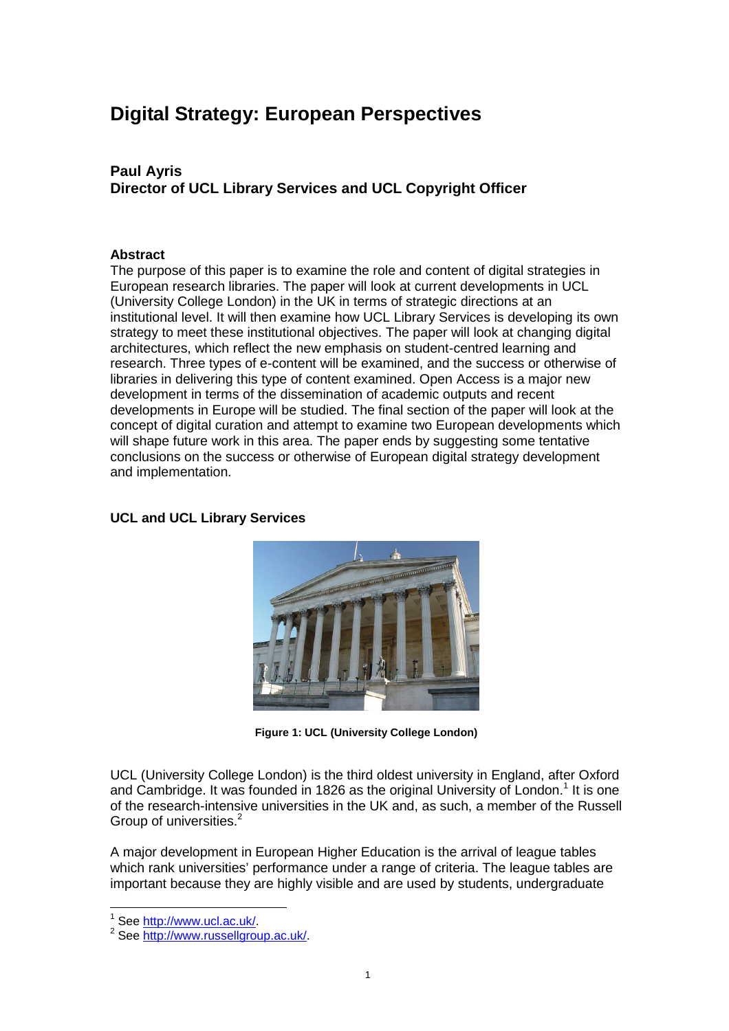# **Digital Strategy: European Perspectives**

# **Paul Ayris Director of UCL Library Services and UCL Copyright Officer**

## **Abstract**

The purpose of this paper is to examine the role and content of digital strategies in European research libraries. The paper will look at current developments in UCL (University College London) in the UK in terms of strategic directions at an institutional level. It will then examine how UCL Library Services is developing its own strategy to meet these institutional objectives. The paper will look at changing digital architectures, which reflect the new emphasis on student-centred learning and research. Three types of e-content will be examined, and the success or otherwise of libraries in delivering this type of content examined. Open Access is a major new development in terms of the dissemination of academic outputs and recent developments in Europe will be studied. The final section of the paper will look at the concept of digital curation and attempt to examine two European developments which will shape future work in this area. The paper ends by suggesting some tentative conclusions on the success or otherwise of European digital strategy development and implementation.

## **UCL and UCL Library Services**



**Figure 1: UCL (University College London)**

UCL (University College London) is the third oldest university in England, after Oxford and Cambridge. It was founded in 1826 as the original University of London.<sup>1</sup> It is one of the research-intensive universities in the UK and, as such, a member of the Russell Group of universities.<sup>2</sup>

A major development in European Higher Education is the arrival of league tables which rank universities' performance under a range of criteria. The league tables are important because they are highly visible and are used by students, undergraduate

<sup>1</sup> See http://www.ucl.ac.uk/.

<sup>&</sup>lt;sup>2</sup> See http://www.russellgroup.ac.uk/.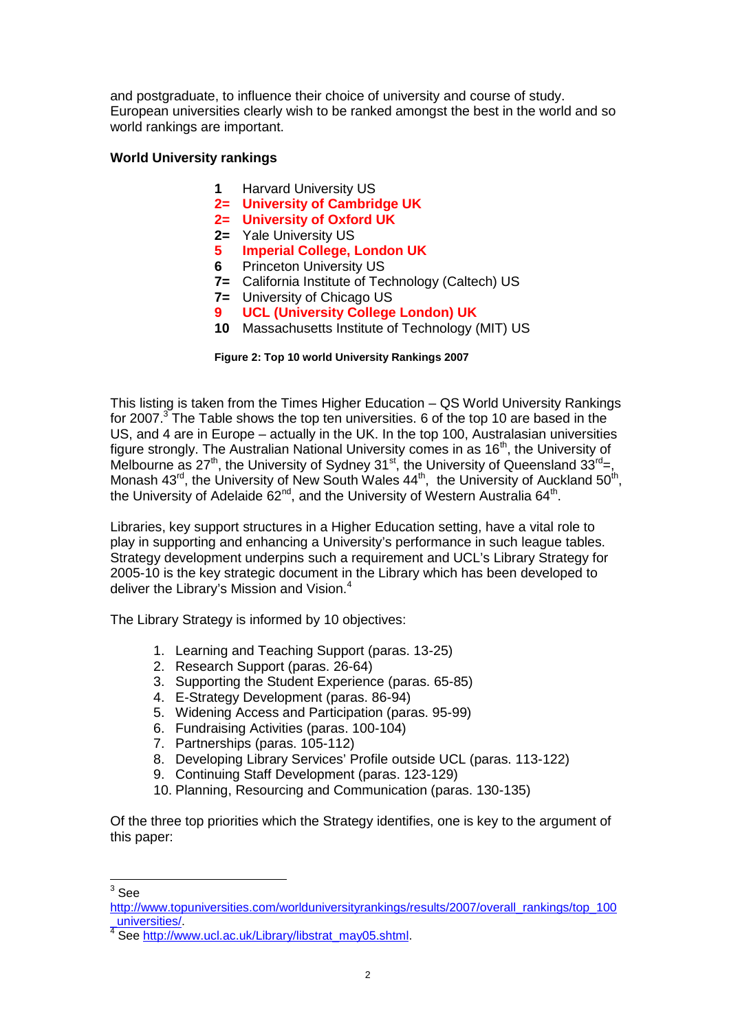and postgraduate, to influence their choice of university and course of study. European universities clearly wish to be ranked amongst the best in the world and so world rankings are important.

# **World University rankings**

- **1** Harvard University US
- **2= University of Cambridge UK**
- **2= University of Oxford UK**
- **2=** Yale University US
- **5 Imperial College, London UK**
- **6** Princeton University US
- **7=** California Institute of Technology (Caltech) US
- **7=** University of Chicago US
- **9 UCL (University College London) UK**
- **10** Massachusetts Institute of Technology (MIT) US

#### **Figure 2: Top 10 world University Rankings 2007**

This listing is taken from the Times Higher Education – QS World University Rankings for 2007.<sup>3</sup> The Table shows the top ten universities. 6 of the top 10 are based in the US, and 4 are in Europe – actually in the UK. In the top 100, Australasian universities figure strongly. The Australian National University comes in as 16<sup>th</sup>, the University of Melbourne as 27<sup>th</sup>, the University of Sydney 31<sup>st</sup>, the University of Queensland 33<sup>rd</sup>=, Monash 43<sup>rd</sup>, the University of New South Wales 44<sup>th</sup>, the University of Auckland 50<sup>th</sup>, the University of Adelaide 62<sup>nd</sup>, and the University of Western Australia 64<sup>th</sup>.

Libraries, key support structures in a Higher Education setting, have a vital role to play in supporting and enhancing a University's performance in such league tables. Strategy development underpins such a requirement and UCL's Library Strategy for 2005-10 is the key strategic document in the Library which has been developed to deliver the Library's Mission and Vision.<sup>4</sup>

The Library Strategy is informed by 10 objectives:

- 1. Learning and Teaching Support (paras. 13-25)
- 2. Research Support (paras. 26-64)
- 3. Supporting the Student Experience (paras. 65-85)
- 4. E-Strategy Development (paras. 86-94)
- 5. Widening Access and Participation (paras. 95-99)
- 6. Fundraising Activities (paras. 100-104)
- 7. Partnerships (paras. 105-112)
- 8. Developing Library Services' Profile outside UCL (paras. 113-122)
- 9. Continuing Staff Development (paras. 123-129)
- 10. Planning, Resourcing and Communication (paras. 130-135)

Of the three top priorities which the Strategy identifies, one is key to the argument of this paper:

 $^3$  See

http://www.topuniversities.com/worlduniversityrankings/results/2007/overall\_rankings/top\_100 \_universities/.

<sup>&</sup>lt;sup>4</sup> See http://www.ucl.ac.uk/Library/libstrat\_may05.shtml.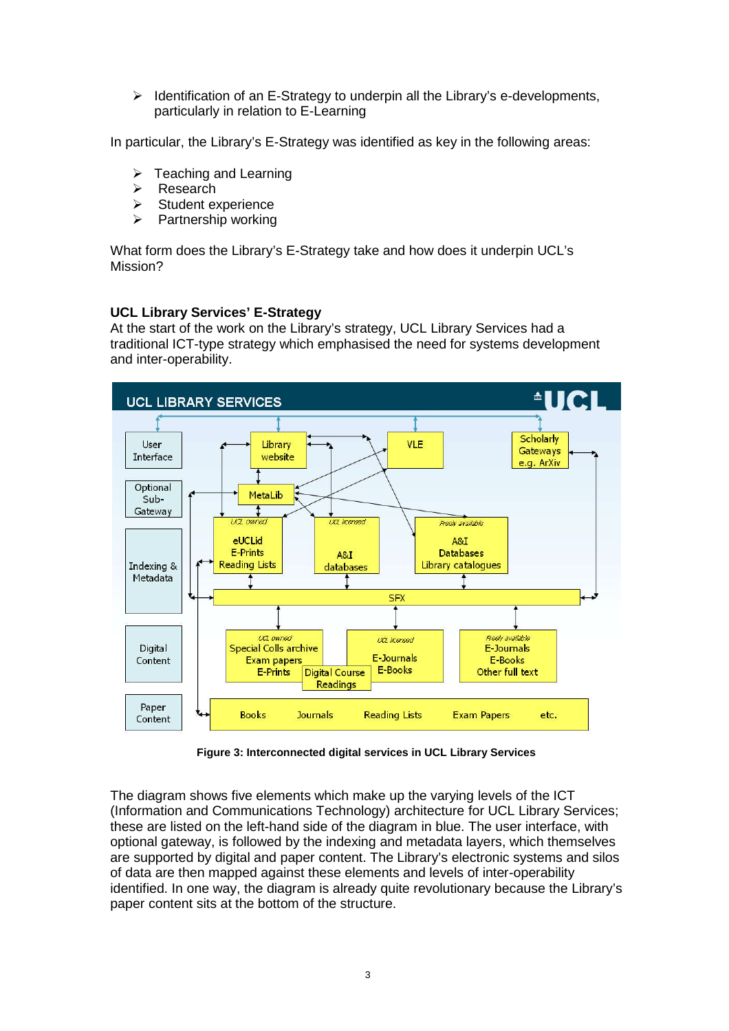$\triangleright$  Identification of an E-Strategy to underpin all the Library's e-developments, particularly in relation to E-Learning

In particular, the Library's E-Strategy was identified as key in the following areas:

- $\triangleright$  Teaching and Learning
- **E** Research
- $\triangleright$  Student experience
- $\triangleright$  Partnership working

What form does the Library's E-Strategy take and how does it underpin UCL's Mission?

# **UCL Library Services' E-Strategy**

At the start of the work on the Library's strategy, UCL Library Services had a traditional ICT-type strategy which emphasised the need for systems development and inter-operability.



**Figure 3: Interconnected digital services in UCL Library Services**

The diagram shows five elements which make up the varying levels of the ICT (Information and Communications Technology) architecture for UCL Library Services; these are listed on the left-hand side of the diagram in blue. The user interface, with optional gateway, is followed by the indexing and metadata layers, which themselves are supported by digital and paper content. The Library's electronic systems and silos of data are then mapped against these elements and levels of inter-operability identified. In one way, the diagram is already quite revolutionary because the Library's paper content sits at the bottom of the structure.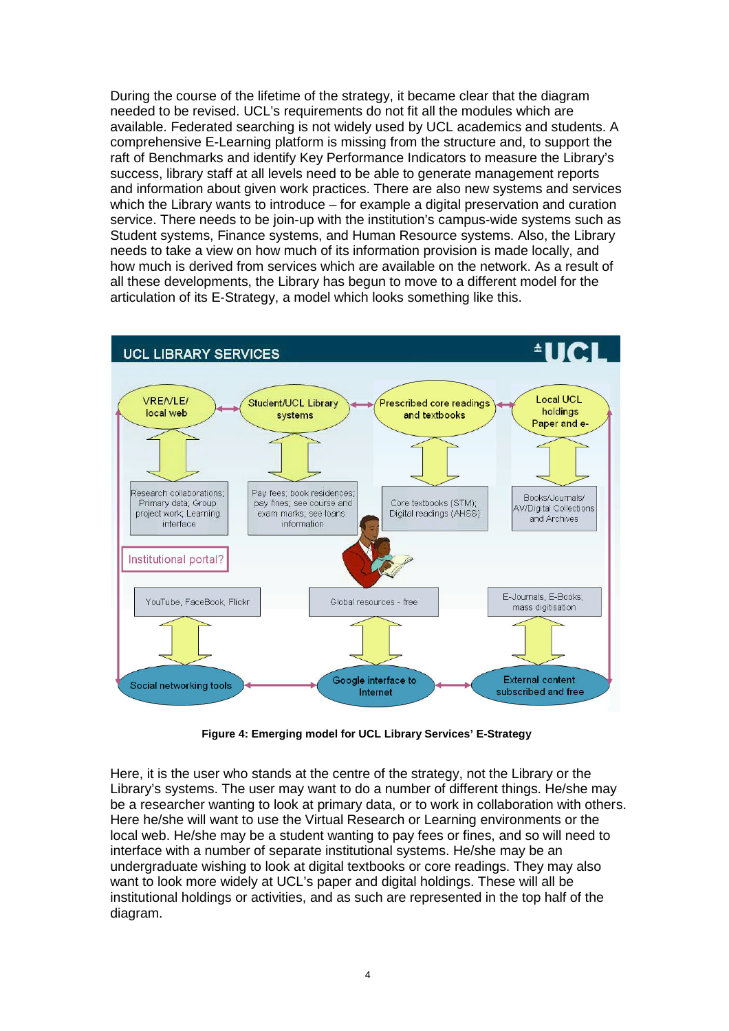During the course of the lifetime of the strategy, it became clear that the diagram needed to be revised. UCL's requirements do not fit all the modules which are available. Federated searching is not widely used by UCL academics and students. A comprehensive E-Learning platform is missing from the structure and, to support the raft of Benchmarks and identify Key Performance Indicators to measure the Library's success, library staff at all levels need to be able to generate management reports and information about given work practices. There are also new systems and services which the Library wants to introduce – for example a digital preservation and curation service. There needs to be join-up with the institution's campus-wide systems such as Student systems, Finance systems, and Human Resource systems. Also, the Library needs to take a view on how much of its information provision is made locally, and how much is derived from services which are available on the network. As a result of all these developments, the Library has begun to move to a different model for the articulation of its E-Strategy, a model which looks something like this.



**Figure 4: Emerging model for UCL Library Services' E-Strategy**

Here, it is the user who stands at the centre of the strategy, not the Library or the Library's systems. The user may want to do a number of different things. He/she may be a researcher wanting to look at primary data, or to work in collaboration with others. Here he/she will want to use the Virtual Research or Learning environments or the local web. He/she may be a student wanting to pay fees or fines, and so will need to interface with a number of separate institutional systems. He/she may be an undergraduate wishing to look at digital textbooks or core readings. They may also want to look more widely at UCL's paper and digital holdings. These will all be institutional holdings or activities, and as such are represented in the top half of the diagram.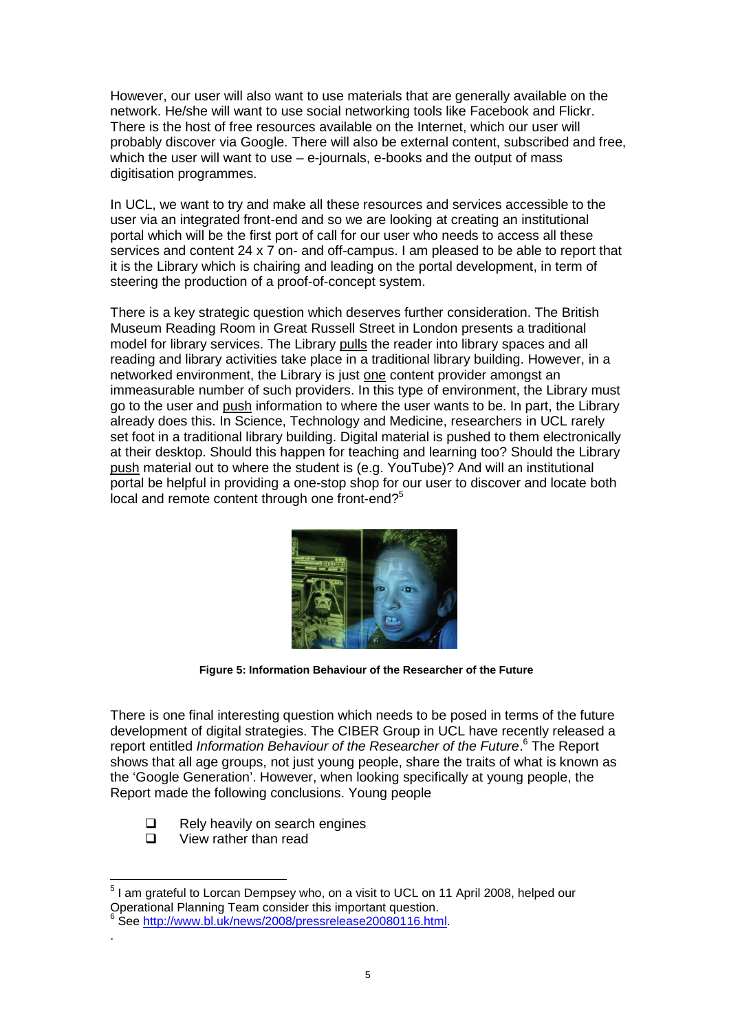However, our user will also want to use materials that are generally available on the network. He/she will want to use social networking tools like Facebook and Flickr. There is the host of free resources available on the Internet, which our user will probably discover via Google. There will also be external content, subscribed and free, which the user will want to use – e-journals, e-books and the output of mass digitisation programmes.

In UCL, we want to try and make all these resources and services accessible to the user via an integrated front-end and so we are looking at creating an institutional portal which will be the first port of call for our user who needs to access all these services and content 24 x 7 on- and off-campus. I am pleased to be able to report that it is the Library which is chairing and leading on the portal development, in term of steering the production of a proof-of-concept system.

There is a key strategic question which deserves further consideration. The British Museum Reading Room in Great Russell Street in London presents a traditional model for library services. The Library pulls the reader into library spaces and all reading and library activities take place in a traditional library building. However, in a networked environment, the Library is just one content provider amongst an immeasurable number of such providers. In this type of environment, the Library must go to the user and push information to where the user wants to be. In part, the Library already does this. In Science, Technology and Medicine, researchers in UCL rarely set foot in a traditional library building. Digital material is pushed to them electronically at their desktop. Should this happen for teaching and learning too? Should the Library push material out to where the student is (e.g. YouTube)? And will an institutional portal be helpful in providing a one-stop shop for our user to discover and locate both local and remote content through one front-end?<sup>5</sup>



**Figure 5: Information Behaviour of the Researcher of the Future**

There is one final interesting question which needs to be posed in terms of the future development of digital strategies. The CIBER Group in UCL have recently released a report entitled *Information Behaviour of the Researcher of the Future*. <sup>6</sup> The Report shows that all age groups, not just young people, share the traits of what is known as the 'Google Generation'. However, when looking specifically at young people, the Report made the following conclusions. Young people

- $\Box$  Rely heavily on search engines<br> $\Box$  View rather than read
- View rather than read

 $<sup>5</sup>$  I am grateful to Lorcan Dempsey who, on a visit to UCL on 11 April 2008, helped our</sup> Operational Planning Team consider this important question.<br><sup>6</sup> See http://www.bl.uk/pews/2008/preserelesse20080116.htm

See http://www.bl.uk/news/2008/pressrelease20080116.html. .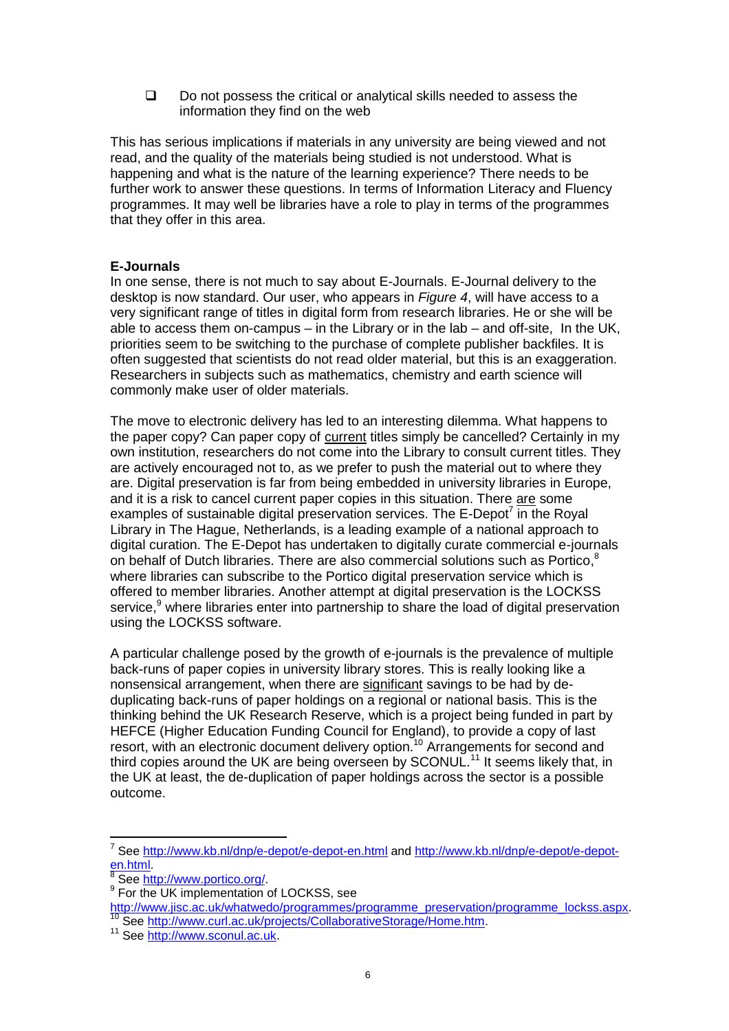$\square$  Do not possess the critical or analytical skills needed to assess the information they find on the web

This has serious implications if materials in any university are being viewed and not read, and the quality of the materials being studied is not understood. What is happening and what is the nature of the learning experience? There needs to be further work to answer these questions. In terms of Information Literacy and Fluency programmes. It may well be libraries have a role to play in terms of the programmes that they offer in this area.

# **E-Journals**

In one sense, there is not much to say about E-Journals. E-Journal delivery to the desktop is now standard. Our user, who appears in *Figure 4*, will have access to a very significant range of titles in digital form from research libraries. He or she will be able to access them on-campus – in the Library or in the lab – and off-site, In the UK, priorities seem to be switching to the purchase of complete publisher backfiles. It is often suggested that scientists do not read older material, but this is an exaggeration. Researchers in subjects such as mathematics, chemistry and earth science will commonly make user of older materials.

The move to electronic delivery has led to an interesting dilemma. What happens to the paper copy? Can paper copy of current titles simply be cancelled? Certainly in my own institution, researchers do not come into the Library to consult current titles. They are actively encouraged not to, as we prefer to push the material out to where they are. Digital preservation is far from being embedded in university libraries in Europe, and it is a risk to cancel current paper copies in this situation. There are some examples of sustainable digital preservation services. The E-Depot<sup>7</sup> in the Royal Library in The Hague, Netherlands, is a leading example of a national approach to digital curation. The E-Depot has undertaken to digitally curate commercial e-journals on behalf of Dutch libraries. There are also commercial solutions such as Portico,<sup>8</sup> where libraries can subscribe to the Portico digital preservation service which is offered to member libraries. Another attempt at digital preservation is the LOCKSS service,<sup>9</sup> where libraries enter into partnership to share the load of digital preservation using the LOCKSS software.

A particular challenge posed by the growth of e-journals is the prevalence of multiple back-runs of paper copies in university library stores. This is really looking like a nonsensical arrangement, when there are significant savings to be had by deduplicating back-runs of paper holdings on a regional or national basis. This is the thinking behind the UK Research Reserve, which is a project being funded in part by HEFCE (Higher Education Funding Council for England), to provide a copy of last resort, with an electronic document delivery option.<sup>10</sup> Arrangements for second and third copies around the UK are being overseen by SCONUL.<sup>11</sup> It seems likely that, in the UK at least, the de-duplication of paper holdings across the sector is a possible outcome.

<sup>&</sup>lt;sup>7</sup> See http://www.kb.nl/dnp/e-depot/e-depot-en.html and http://www.kb.nl/dnp/e-depot/e-depoten.html.<br><sup>8</sup> See ht

See http://www.portico.org/.

<sup>9</sup> For the UK implementation of LOCKSS, see

http://www.jisc.ac.uk/whatwedo/programmes/programme\_preservation/programme\_lockss.aspx. See http://www.curl.ac.uk/projects/CollaborativeStorage/Home.htm.

<sup>11</sup> See http://www.sconul.ac.uk.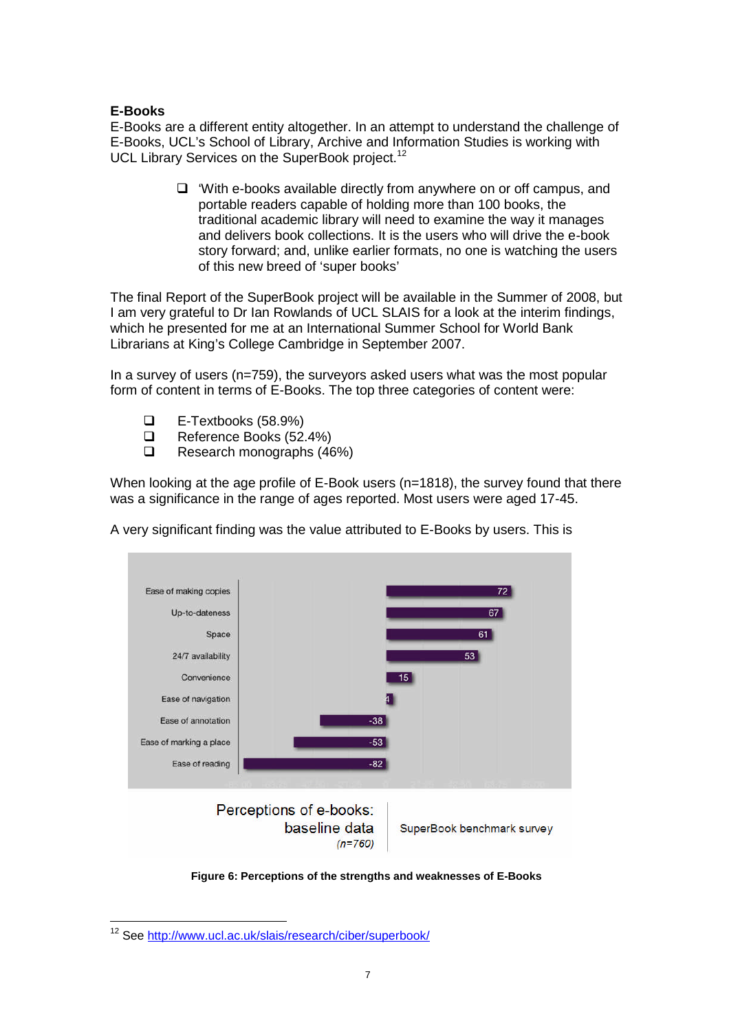# **E-Books**

E-Books are a different entity altogether. In an attempt to understand the challenge of E-Books, UCL's School of Library, Archive and Information Studies is working with UCL Library Services on the SuperBook project.<sup>12</sup>

> $\Box$  'With e-books available directly from anywhere on or off campus, and portable readers capable of holding more than 100 books, the traditional academic library will need to examine the way it manages and delivers book collections. It is the users who will drive the e-book story forward; and, unlike earlier formats, no one is watching the users of this new breed of 'super books'

The final Report of the SuperBook project will be available in the Summer of 2008, but I am very grateful to Dr Ian Rowlands of UCL SLAIS for a look at the interim findings, which he presented for me at an International Summer School for World Bank Librarians at King's College Cambridge in September 2007.

In a survey of users (n=759), the surveyors asked users what was the most popular form of content in terms of E-Books. The top three categories of content were:

- E-Textbooks (58.9%)
- Reference Books (52.4%)
- Research monographs (46%)

When looking at the age profile of E-Book users (n=1818), the survey found that there was a significance in the range of ages reported. Most users were aged 17-45.

A very significant finding was the value attributed to E-Books by users. This is



**Figure 6: Perceptions of the strengths and weaknesses of E-Books**

<sup>12</sup> See http://www.ucl.ac.uk/slais/research/ciber/superbook/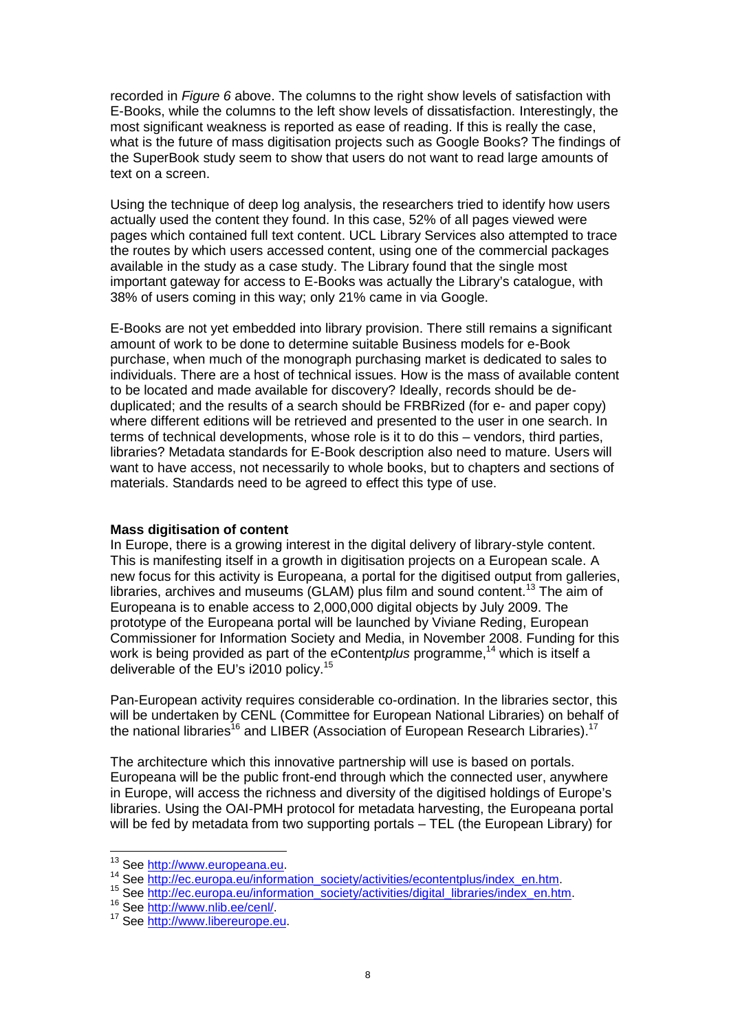recorded in *Figure 6* above. The columns to the right show levels of satisfaction with E-Books, while the columns to the left show levels of dissatisfaction. Interestingly, the most significant weakness is reported as ease of reading. If this is really the case, what is the future of mass digitisation projects such as Google Books? The findings of the SuperBook study seem to show that users do not want to read large amounts of text on a screen.

Using the technique of deep log analysis, the researchers tried to identify how users actually used the content they found. In this case, 52% of all pages viewed were pages which contained full text content. UCL Library Services also attempted to trace the routes by which users accessed content, using one of the commercial packages available in the study as a case study. The Library found that the single most important gateway for access to E-Books was actually the Library's catalogue, with 38% of users coming in this way; only 21% came in via Google.

E-Books are not yet embedded into library provision. There still remains a significant amount of work to be done to determine suitable Business models for e-Book purchase, when much of the monograph purchasing market is dedicated to sales to individuals. There are a host of technical issues. How is the mass of available content to be located and made available for discovery? Ideally, records should be deduplicated; and the results of a search should be FRBRized (for e- and paper copy) where different editions will be retrieved and presented to the user in one search. In terms of technical developments, whose role is it to do this – vendors, third parties, libraries? Metadata standards for E-Book description also need to mature. Users will want to have access, not necessarily to whole books, but to chapters and sections of materials. Standards need to be agreed to effect this type of use.

#### **Mass digitisation of content**

In Europe, there is a growing interest in the digital delivery of library-style content. This is manifesting itself in a growth in digitisation projects on a European scale. A new focus for this activity is Europeana, a portal for the digitised output from galleries, libraries, archives and museums (GLAM) plus film and sound content.<sup>13</sup> The aim of Europeana is to enable access to 2,000,000 digital objects by July 2009. The prototype of the Europeana portal will be launched by Viviane Reding, European Commissioner for Information Society and Media, in November 2008. Funding for this work is being provided as part of the eContent*plus* programme, <sup>14</sup> which is itself a deliverable of the EU's i2010 policy.<sup>15</sup>

Pan-European activity requires considerable co-ordination. In the libraries sector, this will be undertaken by CENL (Committee for European National Libraries) on behalf of the national libraries<sup>16</sup> and LIBER (Association of European Research Libraries).<sup>17</sup>

The architecture which this innovative partnership will use is based on portals. Europeana will be the public front-end through which the connected user, anywhere in Europe, will access the richness and diversity of the digitised holdings of Europe's libraries. Using the OAI-PMH protocol for metadata harvesting, the Europeana portal will be fed by metadata from two supporting portals – TEL (the European Library) for

<sup>16</sup> See http://www.nlib.ee/cenl/.

<sup>&</sup>lt;sup>13</sup> See http://www.europeana.eu.

<sup>14</sup> See http://ec.europa.eu/information\_society/activities/econtentplus/index\_en.htm.

<sup>15</sup> See http://ec.europa.eu/information\_society/activities/digital\_libraries/index\_en.htm.

<sup>&</sup>lt;sup>17</sup> See http://www.libereurope.eu.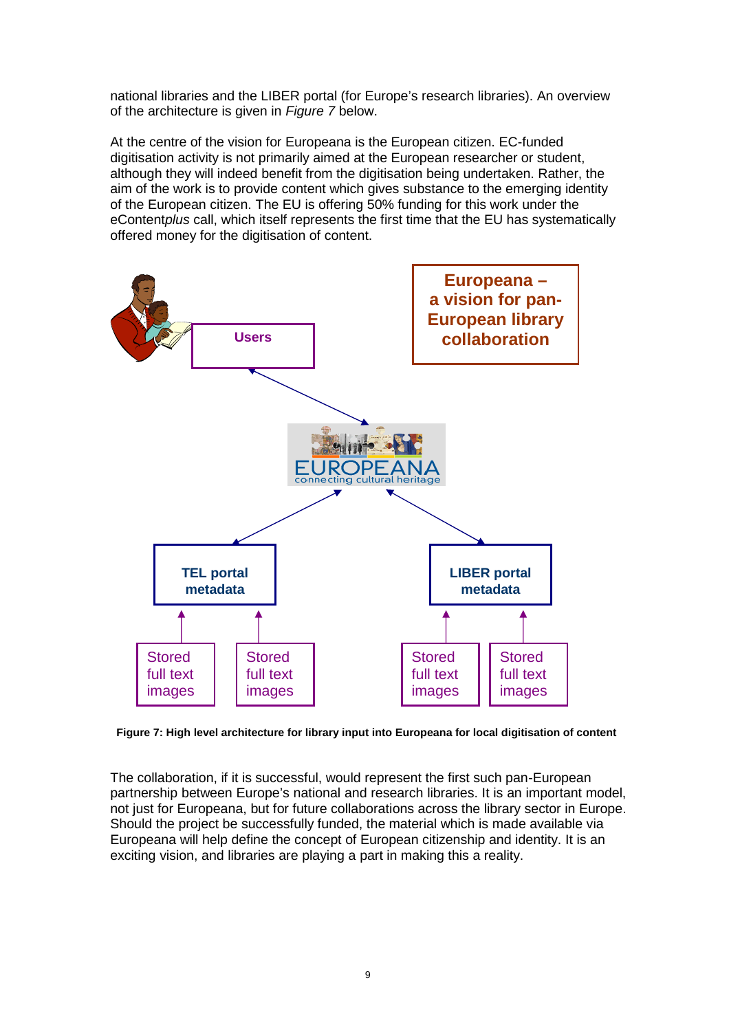national libraries and the LIBER portal (for Europe's research libraries). An overview of the architecture is given in *Figure 7* below.

At the centre of the vision for Europeana is the European citizen. EC-funded digitisation activity is not primarily aimed at the European researcher or student, although they will indeed benefit from the digitisation being undertaken. Rather, the aim of the work is to provide content which gives substance to the emerging identity of the European citizen. The EU is offering 50% funding for this work under the eContent*plus* call, which itself represents the first time that the EU has systematically offered money for the digitisation of content.



**Figure 7: High level architecture for library input into Europeana for local digitisation of content**

The collaboration, if it is successful, would represent the first such pan-European partnership between Europe's national and research libraries. It is an important model, not just for Europeana, but for future collaborations across the library sector in Europe. Should the project be successfully funded, the material which is made available via Europeana will help define the concept of European citizenship and identity. It is an exciting vision, and libraries are playing a part in making this a reality.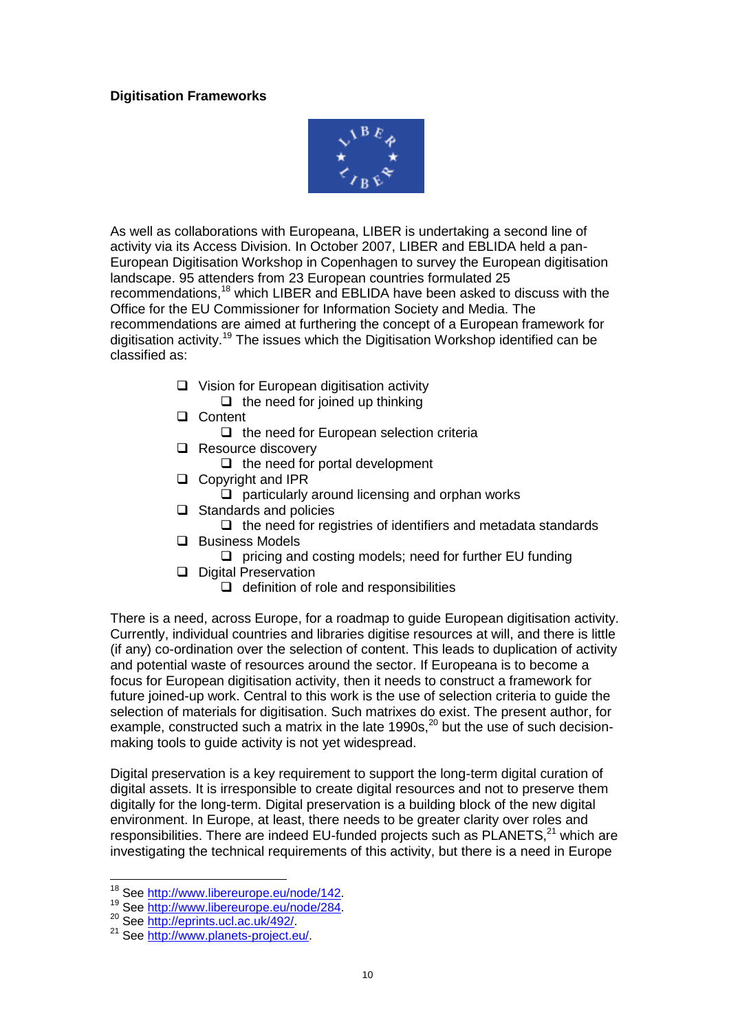# **Digitisation Frameworks**



As well as collaborations with Europeana, LIBER is undertaking a second line of activity via its Access Division. In October 2007, LIBER and EBLIDA held a pan-European Digitisation Workshop in Copenhagen to survey the European digitisation landscape. 95 attenders from 23 European countries formulated 25 recommendations,<sup>18</sup> which LIBER and EBLIDA have been asked to discuss with the Office for the EU Commissioner for Information Society and Media. The recommendations are aimed at furthering the concept of a European framework for digitisation activity.<sup>19</sup> The issues which the Digitisation Workshop identified can be classified as:

- $\Box$  Vision for European digitisation activity  $\Box$  the need for joined up thinking
- □ Content
	- $\Box$  the need for European selection criteria
- Resource discovery
	- $\Box$  the need for portal development
- □ Copyright and IPR
	- $\Box$  particularly around licensing and orphan works
- $\Box$  Standards and policies
	- $\Box$  the need for registries of identifiers and metadata standards
- **Q** Business Models
	- $\Box$  pricing and costing models; need for further EU funding
- Digital Preservation
	- $\Box$  definition of role and responsibilities

There is a need, across Europe, for a roadmap to guide European digitisation activity. Currently, individual countries and libraries digitise resources at will, and there is little (if any) co-ordination over the selection of content. This leads to duplication of activity and potential waste of resources around the sector. If Europeana is to become a focus for European digitisation activity, then it needs to construct a framework for future joined-up work. Central to this work is the use of selection criteria to guide the selection of materials for digitisation. Such matrixes do exist. The present author, for example, constructed such a matrix in the late  $1990s$ ,  $20$  but the use of such decisionmaking tools to guide activity is not yet widespread.

Digital preservation is a key requirement to support the long-term digital curation of digital assets. It is irresponsible to create digital resources and not to preserve them digitally for the long-term. Digital preservation is a building block of the new digital environment. In Europe, at least, there needs to be greater clarity over roles and responsibilities. There are indeed EU-funded projects such as  $PLANETS<sup>21</sup>$  which are investigating the technical requirements of this activity, but there is a need in Europe

<sup>18</sup> See http://www.libereurope.eu/node/142.

<sup>19</sup> See http://www.libereurope.eu/node/284.

<sup>20</sup> See http://eprints.ucl.ac.uk/492/.

<sup>21</sup> See http://www.planets-project.eu/.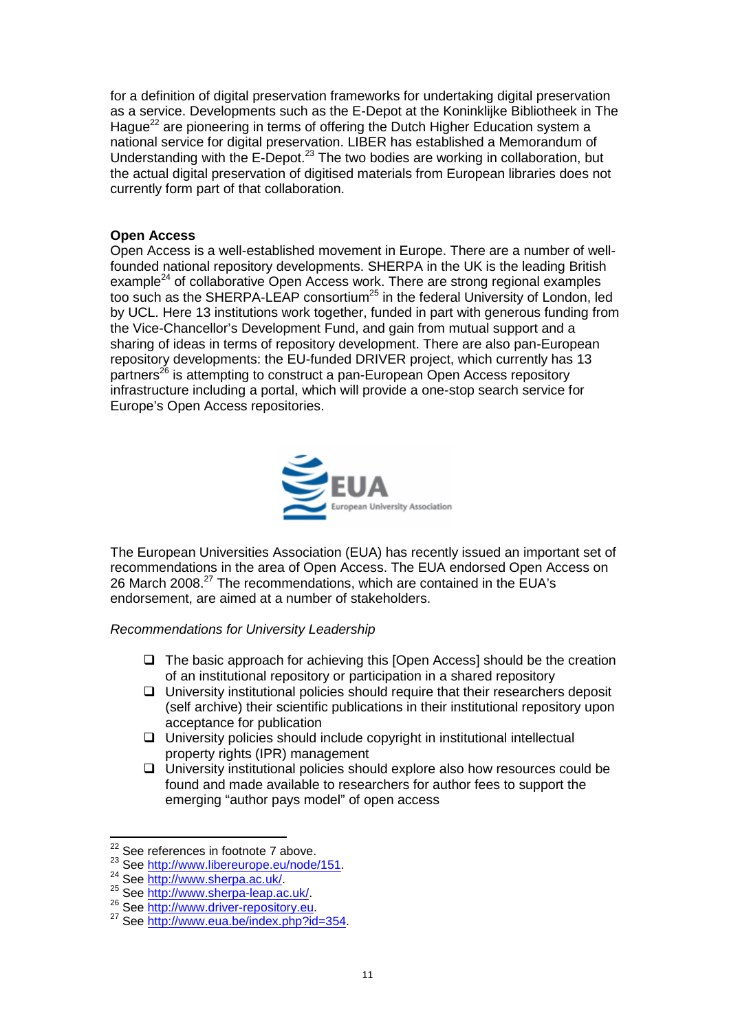for a definition of digital preservation frameworks for undertaking digital preservation as a service. Developments such as the E-Depot at the Koninklijke Bibliotheek in The Hague<sup>22</sup> are pioneering in terms of offering the Dutch Higher Education system a national service for digital preservation. LIBER has established a Memorandum of Understanding with the E-Depot.<sup>23</sup> The two bodies are working in collaboration, but the actual digital preservation of digitised materials from European libraries does not currently form part of that collaboration.

# **Open Access**

Open Access is a well-established movement in Europe. There are a number of wellfounded national repository developments. SHERPA in the UK is the leading British example<sup>24</sup> of collaborative Open Access work. There are strong regional examples too such as the SHERPA-LEAP consortium<sup>25</sup> in the federal University of London, led by UCL. Here 13 institutions work together, funded in part with generous funding from the Vice-Chancellor's Development Fund, and gain from mutual support and a sharing of ideas in terms of repository development. There are also pan-European repository developments: the EU-funded DRIVER project, which currently has 13 partners<sup>26</sup> is attempting to construct a pan-European Open Access repository infrastructure including a portal, which will provide a one-stop search service for Europe's Open Access repositories.



The European Universities Association (EUA) has recently issued an important set of recommendations in the area of Open Access. The EUA endorsed Open Access on 26 March 2008.<sup>27</sup> The recommendations, which are contained in the EUA's endorsement, are aimed at a number of stakeholders.

*Recommendations for University Leadership*

- $\Box$  The basic approach for achieving this [Open Access] should be the creation of an institutional repository or participation in a shared repository
- $\Box$  University institutional policies should require that their researchers deposit (self archive) their scientific publications in their institutional repository upon acceptance for publication
- $\Box$  University policies should include copyright in institutional intellectual property rights (IPR) management
- $\Box$  University institutional policies should explore also how resources could be found and made available to researchers for author fees to support the emerging "author pays model" of open access

 $22$  See references in footnote 7 above.

<sup>&</sup>lt;sup>23</sup> See http://www.libereurope.eu/node/151.

<sup>24</sup> See http://www.sherpa.ac.uk/

<sup>25</sup> See http://www.sherpa-leap.ac.uk/.

<sup>26</sup> See http://www.driver-repository.eu.

<sup>&</sup>lt;sup>27</sup> See http://www.eua.be/index.php?id=354.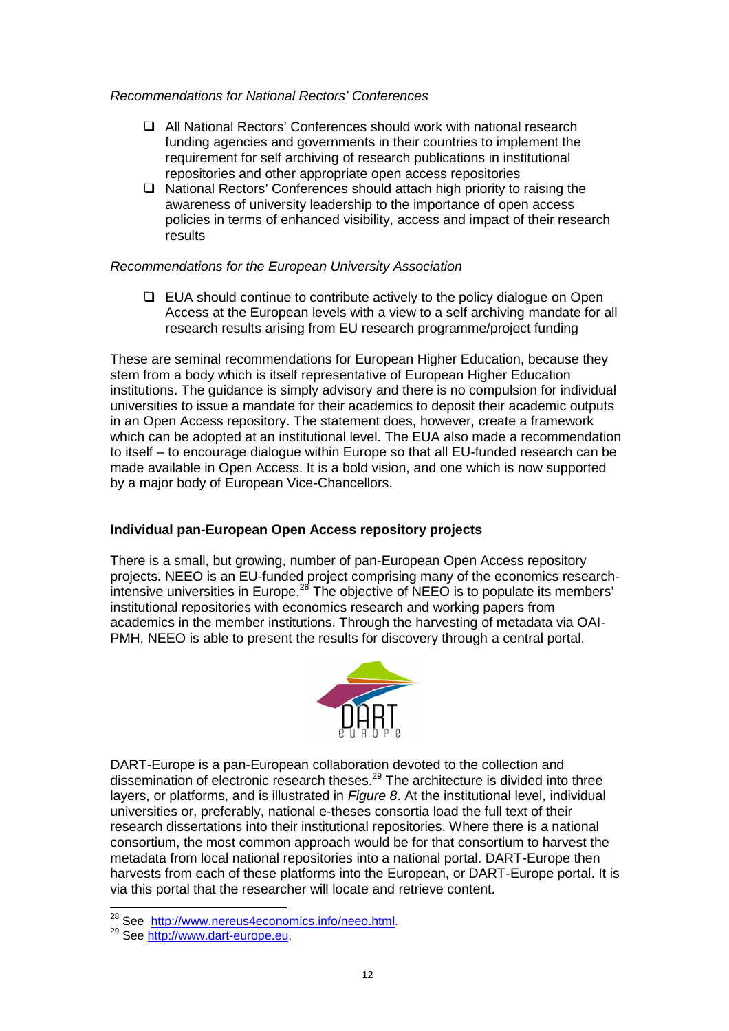#### *Recommendations for National Rectors' Conferences*

- All National Rectors' Conferences should work with national research funding agencies and governments in their countries to implement the requirement for self archiving of research publications in institutional repositories and other appropriate open access repositories
- □ National Rectors' Conferences should attach high priority to raising the awareness of university leadership to the importance of open access policies in terms of enhanced visibility, access and impact of their research results

## *Recommendations for the European University Association*

 $\Box$  EUA should continue to contribute actively to the policy dialogue on Open Access at the European levels with a view to a self archiving mandate for all research results arising from EU research programme/project funding

These are seminal recommendations for European Higher Education, because they stem from a body which is itself representative of European Higher Education institutions. The guidance is simply advisory and there is no compulsion for individual universities to issue a mandate for their academics to deposit their academic outputs in an Open Access repository. The statement does, however, create a framework which can be adopted at an institutional level. The EUA also made a recommendation to itself – to encourage dialogue within Europe so that all EU-funded research can be made available in Open Access. It is a bold vision, and one which is now supported by a major body of European Vice-Chancellors.

# **Individual pan-European Open Access repository projects**

There is a small, but growing, number of pan-European Open Access repository projects. NEEO is an EU-funded project comprising many of the economics researchintensive universities in Europe.<sup>28</sup> The objective of NEEO is to populate its members' institutional repositories with economics research and working papers from academics in the member institutions. Through the harvesting of metadata via OAI-PMH, NEEO is able to present the results for discovery through a central portal.



DART-Europe is a pan-European collaboration devoted to the collection and dissemination of electronic research theses.<sup>29</sup> The architecture is divided into three layers, or platforms, and is illustrated in *Figure 8*. At the institutional level, individual universities or, preferably, national e-theses consortia load the full text of their research dissertations into their institutional repositories. Where there is a national consortium, the most common approach would be for that consortium to harvest the metadata from local national repositories into a national portal. DART-Europe then harvests from each of these platforms into the European, or DART-Europe portal. It is via this portal that the researcher will locate and retrieve content.

<sup>&</sup>lt;sup>28</sup> See http://www.nereus4economics.info/neeo.html

<sup>&</sup>lt;sup>29</sup> See http://www.dart-europe.eu.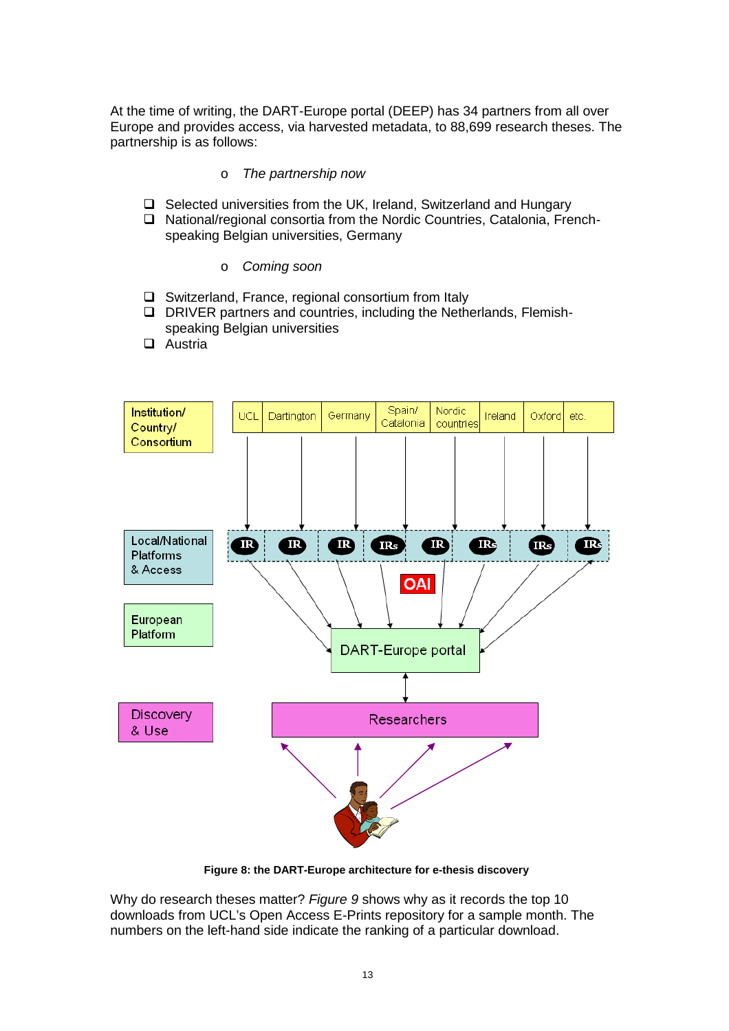At the time of writing, the DART-Europe portal (DEEP) has 34 partners from all over Europe and provides access, via harvested metadata, to 88,699 research theses. The partnership is as follows:

#### o *The partnership now*

- $\Box$  Selected universities from the UK, Ireland, Switzerland and Hungary
- □ National/regional consortia from the Nordic Countries, Catalonia, Frenchspeaking Belgian universities, Germany
	- o *Coming soon*
- □ Switzerland, France, regional consortium from Italy
- DRIVER partners and countries, including the Netherlands, Flemishspeaking Belgian universities
- □ Austria



**Figure 8: the DART-Europe architecture for e-thesis discovery**

Why do research theses matter? *Figure 9* shows why as it records the top 10 downloads from UCL's Open Access E-Prints repository for a sample month. The numbers on the left-hand side indicate the ranking of a particular download.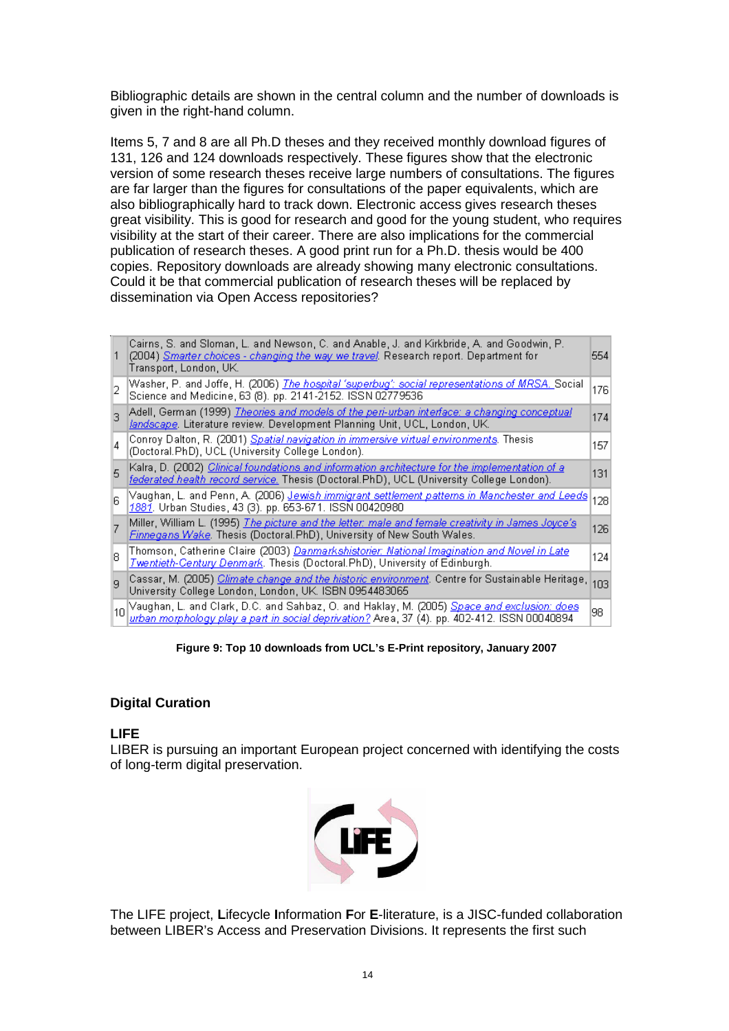Bibliographic details are shown in the central column and the number of downloads is given in the right-hand column.

Items 5, 7 and 8 are all Ph.D theses and they received monthly download figures of 131, 126 and 124 downloads respectively. These figures show that the electronic version of some research theses receive large numbers of consultations. The figures are far larger than the figures for consultations of the paper equivalents, which are also bibliographically hard to track down. Electronic access gives research theses great visibility. This is good for research and good for the young student, who requires visibility at the start of their career. There are also implications for the commercial publication of research theses. A good print run for a Ph.D. thesis would be 400 copies. Repository downloads are already showing many electronic consultations. Could it be that commercial publication of research theses will be replaced by dissemination via Open Access repositories?

|                  | Cairns, S. and Sloman, L. and Newson, C. and Anable, J. and Kirkbride, A. and Goodwin, P.<br>(2004) <i>Smarter choices - changing the way we travel</i> . Research report. Department for<br>Transport, London, UK. | 554 |
|------------------|---------------------------------------------------------------------------------------------------------------------------------------------------------------------------------------------------------------------|-----|
|                  | Washer, P. and Joffe, H. (2006) <i><u>The hospital 'superbug': social representations of MRSA. S</u></i> ocial<br>Science and Medicine, 63 (8). pp. 2141-2152. ISSN 02779536                                        | 176 |
|                  | Adell, German (1999) <u>Theories and models of the peri-urban interface: a changing conceptual</u><br>landscape. Literature review. Development Planning Unit, UCL, London, UK.                                     | 174 |
| 14               | Conroy Dalton, R. (2001) <u>Spatial navigation in immersive virtual environments</u> . Thesis<br>(Doctoral.PhD), UCL (University College London).                                                                   | 157 |
| 5                | Kalra, D. (2002) <i>Clinical foundations and information architecture for the implementation of a</i><br>federated health record service. Thesis (Doctoral.PhD), UCL (University College London).                   | 131 |
| ĥ                | Vaughan, L. and Penn, A. (2006) <u>J<i>ewish immigrant settlement patterns in Manchester and Leeds</i></u><br>1881. Urban Studies, 43 (3). pp. 653-671. ISSN 00420980.                                              | 128 |
|                  | Miller, William L. (1995) <u>The picture and the letter: male and female creativity in James Joyce's</u><br><b>Finnegans Wake</b> . Thesis (Doctoral.PhD), University of New South Wales.                           | 126 |
| R                | Thomson, Catherine Claire (2003) <u>Danmarkshistorier: National Imagination and Novel in Late</u><br><b>Twentieth-Century Denmark</b> . Thesis (Doctoral.PhD), University of Edinburgh.                             | 124 |
| q                | Cassar, M. (2005) <i>Climate change and the historic environment</i> . Centre for Sustainable Heritage,<br>University College London, London, UK. ISBN 0954483065                                                   | 103 |
| 10 <sup>10</sup> | Vaughan, L. and Clark, D.C. and Sahbaz, O. and Haklay, M. (2005) <u>Space and exclusion: does</u><br><u>wrban morphology play a part in social deprivation?</u> Area, 37 (4). pp. 402-412. ISSN 00040894            | 98  |

**Figure 9: Top 10 downloads from UCL's E-Print repository, January 2007**

# **Digital Curation**

# **LIFE**

LIBER is pursuing an important European project concerned with identifying the costs of long-term digital preservation.



The LIFE project, **L**ifecycle **I**nformation **F**or **E**-literature, is a JISC-funded collaboration between LIBER's Access and Preservation Divisions. It represents the first such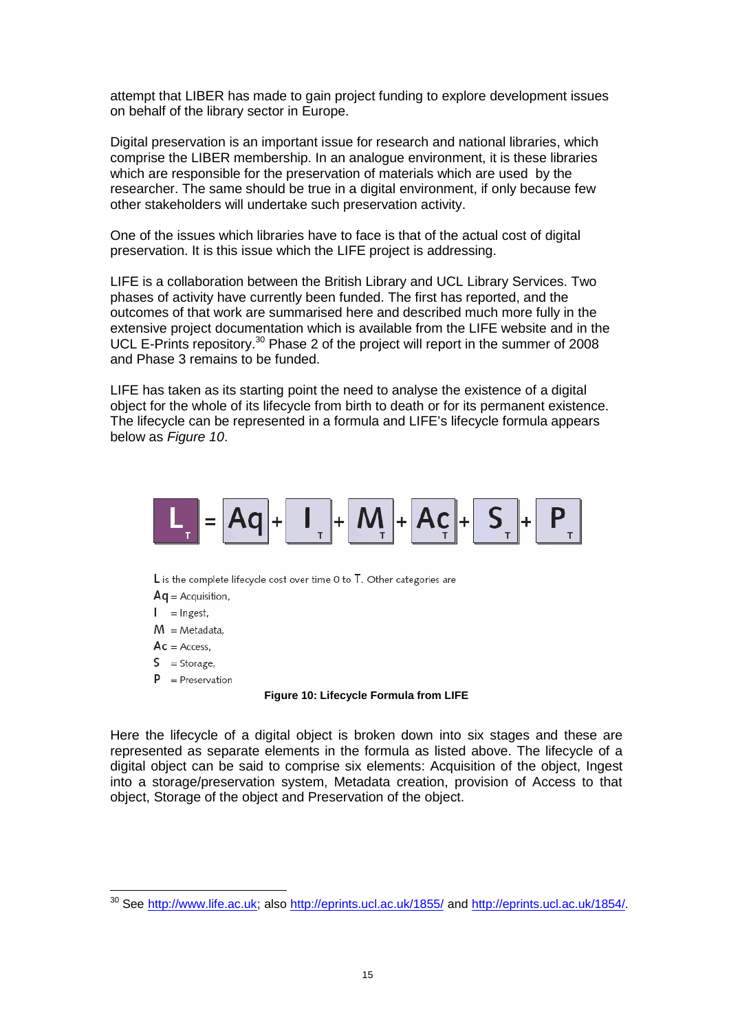attempt that LIBER has made to gain project funding to explore development issues on behalf of the library sector in Europe.

Digital preservation is an important issue for research and national libraries, which comprise the LIBER membership. In an analogue environment, it is these libraries which are responsible for the preservation of materials which are used by the researcher. The same should be true in a digital environment, if only because few other stakeholders will undertake such preservation activity.

One of the issues which libraries have to face is that of the actual cost of digital preservation. It is this issue which the LIFE project is addressing.

LIFE is a collaboration between the British Library and UCL Library Services. Two phases of activity have currently been funded. The first has reported, and the outcomes of that work are summarised here and described much more fully in the extensive project documentation which is available from the LIFE website and in the UCL E-Prints repository.<sup>30</sup> Phase 2 of the project will report in the summer of 2008 and Phase 3 remains to be funded.

LIFE has taken as its starting point the need to analyse the existence of a digital object for the whole of its lifecycle from birth to death or for its permanent existence. The lifecycle can be represented in a formula and LIFE's lifecycle formula appears below as *Figure 10*.



 $L$  is the complete lifecycle cost over time 0 to  $T$ . Other categories are

- $Aq =$  Acquisition,
- $I = Ingest,$
- $M = Metadata$ .
- $Ac = Access$ ,
- $S =$ Storage,
- $P =$  Preservation

#### **Figure 10: Lifecycle Formula from LIFE**

Here the lifecycle of a digital object is broken down into six stages and these are represented as separate elements in the formula as listed above. The lifecycle of a digital object can be said to comprise six elements: Acquisition of the object, Ingest into a storage/preservation system, Metadata creation, provision of Access to that object, Storage of the object and Preservation of the object.

<sup>&</sup>lt;sup>30</sup> See http://www.life.ac.uk; also http://eprints.ucl.ac.uk/1855/ and http://eprints.ucl.ac.uk/1854/.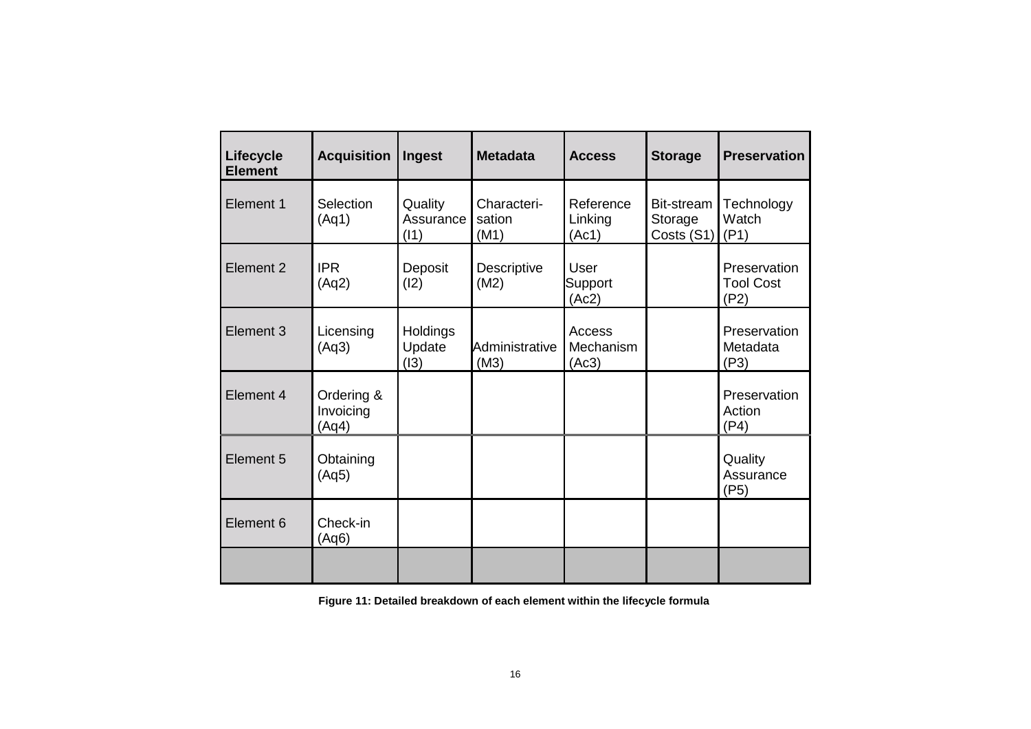| Lifecycle<br><b>Element</b> | <b>Acquisition</b>               | Ingest                       | <b>Metadata</b>               | <b>Access</b>                 | <b>Storage</b>                      | <b>Preservation</b>                      |
|-----------------------------|----------------------------------|------------------------------|-------------------------------|-------------------------------|-------------------------------------|------------------------------------------|
| Element 1                   | Selection<br>(Aq1)               | Quality<br>Assurance<br>(11) | Characteri-<br>sation<br>(M1) | Reference<br>Linking<br>(Ac1) | Bit-stream<br>Storage<br>Costs (S1) | Technology<br>Watch<br>(P1)              |
| Element 2                   | <b>IPR</b><br>(Aq2)              | Deposit<br>(12)              | Descriptive<br>(M2)           | User<br>Support<br>(Ac2)      |                                     | Preservation<br><b>Tool Cost</b><br>(P2) |
| Element 3                   | Licensing<br>(Aq3)               | Holdings<br>Update<br>(13)   | Administrative<br>(M3)        | Access<br>Mechanism<br>(Ac3)  |                                     | Preservation<br>Metadata<br>(P3)         |
| Element 4                   | Ordering &<br>Invoicing<br>(Aq4) |                              |                               |                               |                                     | Preservation<br>Action<br>(P4)           |
| Element 5                   | Obtaining<br>(Aq5)               |                              |                               |                               |                                     | Quality<br>Assurance<br>(P5)             |
| Element 6                   | Check-in<br>(Aq6)                |                              |                               |                               |                                     |                                          |
|                             |                                  |                              |                               |                               |                                     |                                          |

**Figure 11: Detailed breakdown of each element within the lifecycle formula**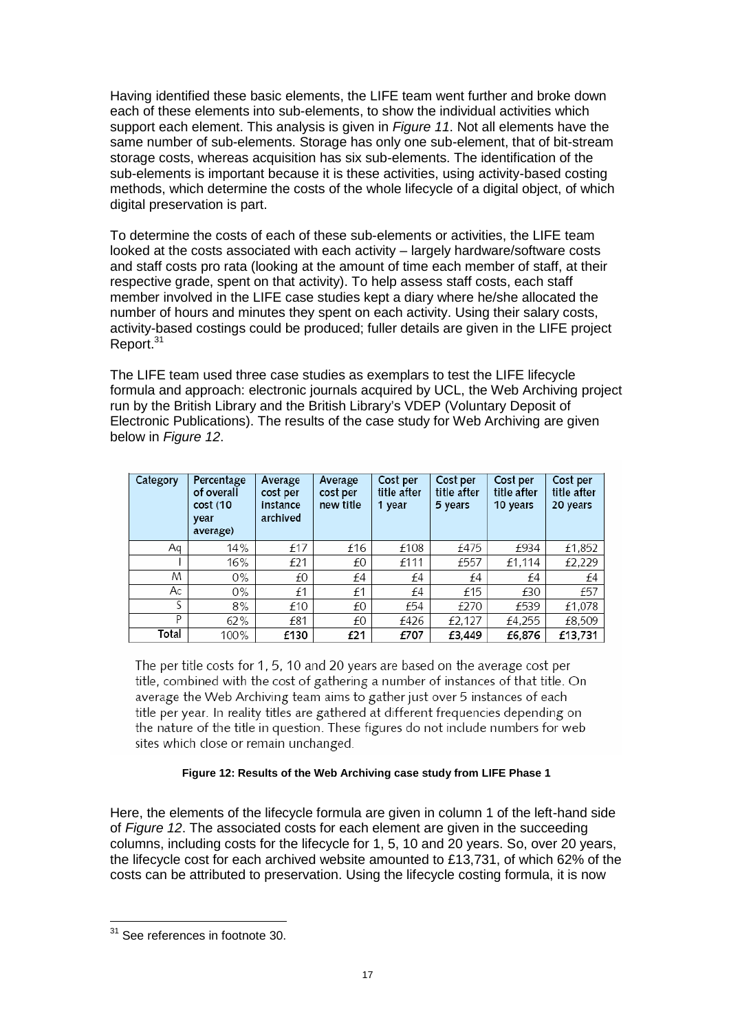Having identified these basic elements, the LIFE team went further and broke down each of these elements into sub-elements, to show the individual activities which support each element. This analysis is given in *Figure 11*. Not all elements have the same number of sub-elements. Storage has only one sub-element, that of bit-stream storage costs, whereas acquisition has six sub-elements. The identification of the sub-elements is important because it is these activities, using activity-based costing methods, which determine the costs of the whole lifecycle of a digital object, of which digital preservation is part.

To determine the costs of each of these sub-elements or activities, the LIFE team looked at the costs associated with each activity – largely hardware/software costs and staff costs pro rata (looking at the amount of time each member of staff, at their respective grade, spent on that activity). To help assess staff costs, each staff member involved in the LIFE case studies kept a diary where he/she allocated the number of hours and minutes they spent on each activity. Using their salary costs, activity-based costings could be produced; fuller details are given in the LIFE project Report.<sup>31</sup>

The LIFE team used three case studies as exemplars to test the LIFE lifecycle formula and approach: electronic journals acquired by UCL, the Web Archiving project run by the British Library and the British Library's VDEP (Voluntary Deposit of Electronic Publications). The results of the case study for Web Archiving are given below in *Figure 12*.

| Category | Percentage<br>of overall<br>cost (10<br>year<br>average) | Average<br>cost per<br>instance<br>archived | Average<br>cost per<br>new title | Cost per<br>title after<br>1 year | Cost per<br>title after<br>5 years | Cost per<br>title after<br>10 years | Cost per<br>title after<br>20 years |
|----------|----------------------------------------------------------|---------------------------------------------|----------------------------------|-----------------------------------|------------------------------------|-------------------------------------|-------------------------------------|
| Aq       | 14%                                                      | £17                                         | £16                              | £108                              | £475                               | £934                                | £1,852                              |
|          | 16%                                                      | £21                                         | £0                               | £111                              | £557                               | £1,114                              | £2,229                              |
| M        | 0%                                                       | £0                                          | £4                               | £4                                | £4                                 | £4                                  | £4                                  |
| Ac       | 0%                                                       | £1                                          | £1                               | £4                                | £15                                | £30                                 | £57                                 |
| S        | 8%                                                       | £10                                         | £0                               | £54                               | £270                               | £539                                | £1,078                              |
| P        | 62%                                                      | £81                                         | £0                               | £426                              | £2,127                             | £4,255                              | £8,509                              |
| Total    | 100%                                                     | £130                                        | £21                              | £707                              | £3,449                             | £6,876                              | £13,731                             |

The per title costs for 1, 5, 10 and 20 years are based on the average cost per title, combined with the cost of gathering a number of instances of that title. On average the Web Archiving team aims to gather just over 5 instances of each title per year. In reality titles are gathered at different frequencies depending on the nature of the title in question. These figures do not include numbers for web sites which close or remain unchanged.

#### **Figure 12: Results of the Web Archiving case study from LIFE Phase 1**

Here, the elements of the lifecycle formula are given in column 1 of the left-hand side of *Figure 12*. The associated costs for each element are given in the succeeding columns, including costs for the lifecycle for 1, 5, 10 and 20 years. So, over 20 years, the lifecycle cost for each archived website amounted to £13,731, of which 62% of the costs can be attributed to preservation. Using the lifecycle costing formula, it is now

<sup>&</sup>lt;sup>31</sup> See references in footnote 30.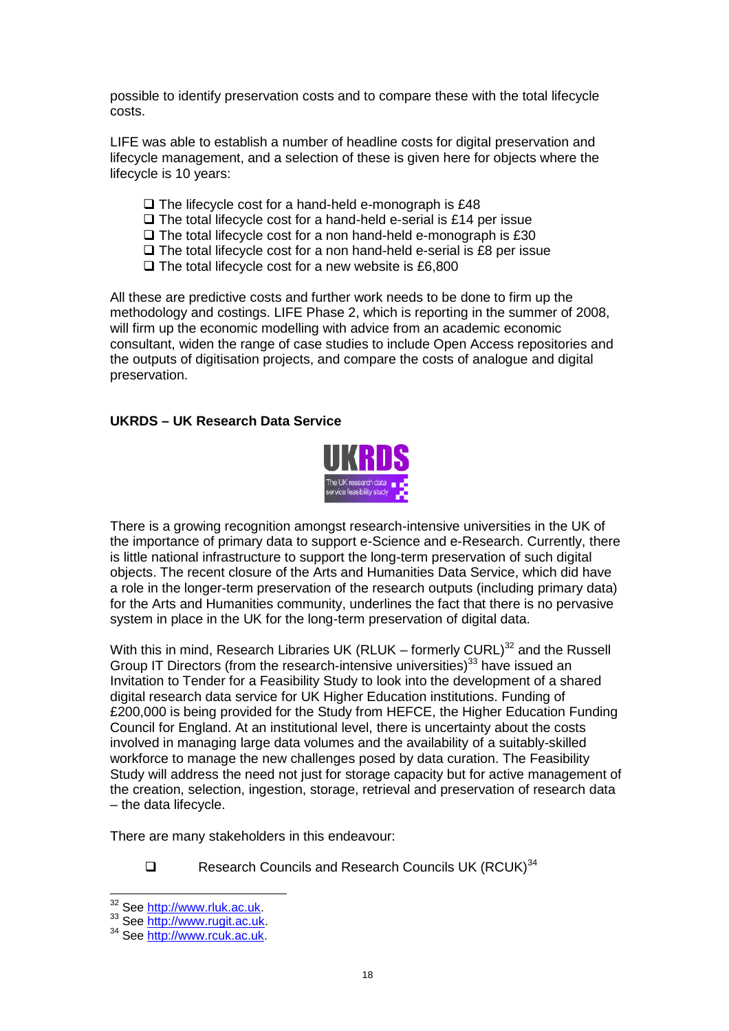possible to identify preservation costs and to compare these with the total lifecycle costs.

LIFE was able to establish a number of headline costs for digital preservation and lifecycle management, and a selection of these is given here for objects where the lifecycle is 10 years:

- $\Box$  The lifecycle cost for a hand-held e-monograph is £48
- $\Box$  The total lifecycle cost for a hand-held e-serial is £14 per issue
- $\Box$  The total lifecycle cost for a non hand-held e-monograph is £30
- $\Box$  The total lifecycle cost for a non hand-held e-serial is £8 per issue
- $\Box$  The total lifecycle cost for a new website is £6,800

All these are predictive costs and further work needs to be done to firm up the methodology and costings. LIFE Phase 2, which is reporting in the summer of 2008, will firm up the economic modelling with advice from an academic economic consultant, widen the range of case studies to include Open Access repositories and the outputs of digitisation projects, and compare the costs of analogue and digital preservation.

#### **UKRDS – UK Research Data Service**



There is a growing recognition amongst research-intensive universities in the UK of the importance of primary data to support e-Science and e-Research. Currently, there is little national infrastructure to support the long-term preservation of such digital objects. The recent closure of the Arts and Humanities Data Service, which did have a role in the longer-term preservation of the research outputs (including primary data) for the Arts and Humanities community, underlines the fact that there is no pervasive system in place in the UK for the long-term preservation of digital data.

With this in mind, Research Libraries UK (RLUK – formerly CURL)<sup>32</sup> and the Russell Group IT Directors (from the research-intensive universities)<sup>33</sup> have issued an Invitation to Tender for a Feasibility Study to look into the development of a shared digital research data service for UK Higher Education institutions. Funding of £200,000 is being provided for the Study from HEFCE, the Higher Education Funding Council for England. At an institutional level, there is uncertainty about the costs involved in managing large data volumes and the availability of a suitably-skilled workforce to manage the new challenges posed by data curation. The Feasibility Study will address the need not just for storage capacity but for active management of the creation, selection, ingestion, storage, retrieval and preservation of research data – the data lifecycle.

There are many stakeholders in this endeavour:

 $\Box$  Research Councils and Research Councils UK (RCUK)<sup>34</sup>

<sup>32</sup> See http://www.rluk.ac.uk.

<sup>33</sup> See http://www.rugit.ac.uk.

<sup>34</sup> See http://www.rcuk.ac.uk.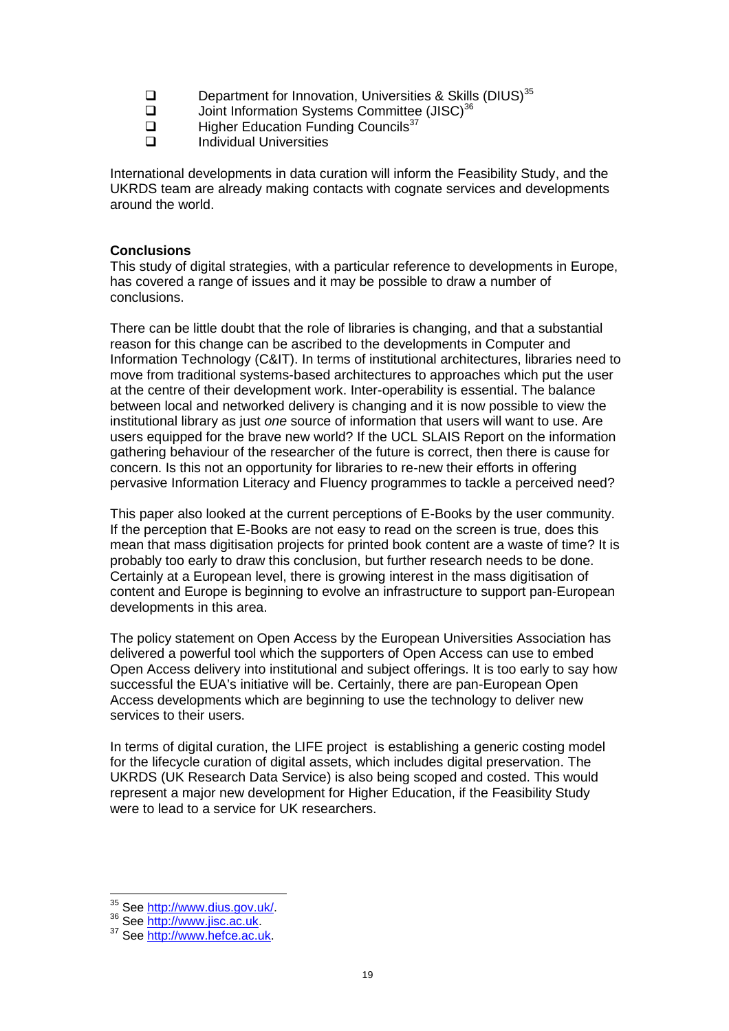- **Q** Department for Innovation, Universities & Skills (DIUS)<sup>35</sup><br>
Dioint Information Systems Committee (JISC)<sup>36</sup>
- $\square$  Joint Information Systems Committee (JISC)<sup>36</sup><br> $\square$  Higher Education Funding Councils<sup>37</sup>
- $\square$  Higher Education Funding Councils<sup>37</sup><br> $\square$  Individual Universities
	- Individual Universities

International developments in data curation will inform the Feasibility Study, and the UKRDS team are already making contacts with cognate services and developments around the world.

## **Conclusions**

This study of digital strategies, with a particular reference to developments in Europe, has covered a range of issues and it may be possible to draw a number of conclusions.

There can be little doubt that the role of libraries is changing, and that a substantial reason for this change can be ascribed to the developments in Computer and Information Technology (C&IT). In terms of institutional architectures, libraries need to move from traditional systems-based architectures to approaches which put the user at the centre of their development work. Inter-operability is essential. The balance between local and networked delivery is changing and it is now possible to view the institutional library as just *one* source of information that users will want to use. Are users equipped for the brave new world? If the UCL SLAIS Report on the information gathering behaviour of the researcher of the future is correct, then there is cause for concern. Is this not an opportunity for libraries to re-new their efforts in offering pervasive Information Literacy and Fluency programmes to tackle a perceived need?

This paper also looked at the current perceptions of E-Books by the user community. If the perception that E-Books are not easy to read on the screen is true, does this mean that mass digitisation projects for printed book content are a waste of time? It is probably too early to draw this conclusion, but further research needs to be done. Certainly at a European level, there is growing interest in the mass digitisation of content and Europe is beginning to evolve an infrastructure to support pan-European developments in this area.

The policy statement on Open Access by the European Universities Association has delivered a powerful tool which the supporters of Open Access can use to embed Open Access delivery into institutional and subject offerings. It is too early to say how successful the EUA's initiative will be. Certainly, there are pan-European Open Access developments which are beginning to use the technology to deliver new services to their users.

In terms of digital curation, the LIFE project is establishing a generic costing model for the lifecycle curation of digital assets, which includes digital preservation. The UKRDS (UK Research Data Service) is also being scoped and costed. This would represent a major new development for Higher Education, if the Feasibility Study were to lead to a service for UK researchers.

<sup>35</sup> See http://www.dius.gov.uk/.

<sup>36</sup> See http://www.jisc.ac.uk.

<sup>37</sup> See http://www.hefce.ac.uk.